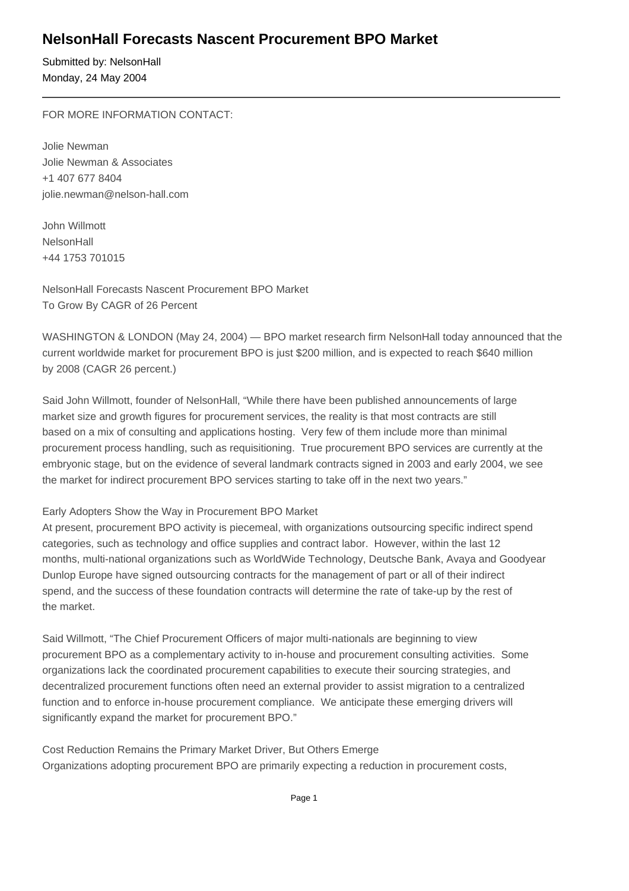## **NelsonHall Forecasts Nascent Procurement BPO Market**

Submitted by: NelsonHall Monday, 24 May 2004

FOR MORE INFORMATION CONTACT:

Jolie Newman Jolie Newman & Associates +1 407 677 8404 jolie.newman@nelson-hall.com 

John Willmott **NelsonHall** +44 1753 701015

NelsonHall Forecasts Nascent Procurement BPO Market To Grow By CAGR of 26 Percent

WASHINGTON & LONDON (May 24, 2004) — BPO market research firm NelsonHall today announced that the current worldwide market for procurement BPO is just \$200 million, and is expected to reach \$640 million by 2008 (CAGR 26 percent.)

Said John Willmott, founder of NelsonHall, "While there have been published announcements of large market size and growth figures for procurement services, the reality is that most contracts are still based on a mix of consulting and applications hosting. Very few of them include more than minimal procurement process handling, such as requisitioning. True procurement BPO services are currently at the embryonic stage, but on the evidence of several landmark contracts signed in 2003 and early 2004, we see the market for indirect procurement BPO services starting to take off in the next two years."

### Early Adopters Show the Way in Procurement BPO Market

At present, procurement BPO activity is piecemeal, with organizations outsourcing specific indirect spend categories, such as technology and office supplies and contract labor. However, within the last 12 months, multi-national organizations such as WorldWide Technology, Deutsche Bank, Avaya and Goodyear Dunlop Europe have signed outsourcing contracts for the management of part or all of their indirect spend, and the success of these foundation contracts will determine the rate of take-up by the rest of the market.

Said Willmott, "The Chief Procurement Officers of major multi-nationals are beginning to view procurement BPO as a complementary activity to in-house and procurement consulting activities. Some organizations lack the coordinated procurement capabilities to execute their sourcing strategies, and decentralized procurement functions often need an external provider to assist migration to a centralized function and to enforce in-house procurement compliance. We anticipate these emerging drivers will significantly expand the market for procurement BPO."

Cost Reduction Remains the Primary Market Driver, But Others Emerge Organizations adopting procurement BPO are primarily expecting a reduction in procurement costs,